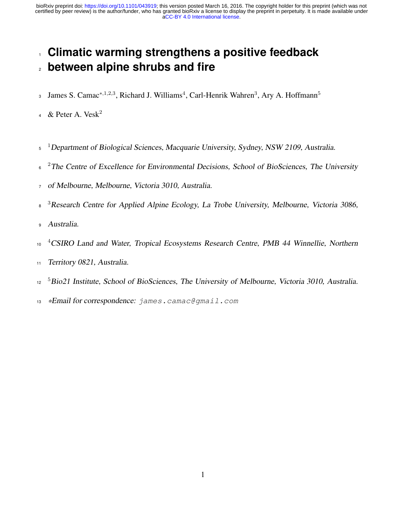# <sup>1</sup> **Climatic warming strengthens a positive feedback** <sup>2</sup> **between alpine shrubs and fire**

- James S. Camac<sup>∗,1,2,3</sup>, Richard J. Williams<sup>4</sup>, Carl-Henrik Wahren<sup>3</sup>, Ary A. Hoffmann<sup>5</sup> 3
- 4 & Peter A. Vesk<sup>2</sup>
- <sup>5</sup> <sup>1</sup>Department of Biological Sciences, Macquarie University, Sydney, NSW 2109, Australia.
- $2^{\circ}$  <sup>2</sup>The Centre of Excellence for Environmental Decisions, School of BioSciences, The University
- <sup>7</sup> of Melbourne, Melbourne, Victoria 3010, Australia.
- <sup>3</sup> Research Centre for Applied Alpine Ecology, La Trobe University, Melbourne, Victoria 3086,
- <sup>9</sup> Australia.
- <sup>10</sup> <sup>4</sup>CSIRO Land and Water, Tropical Ecosystems Research Centre, PMB 44 Winnellie, Northern
- <sup>11</sup> Territory 0821, Australia.
- <sup>5</sup>Bio21 Institute, School of BioSciences, The University of Melbourne, Victoria 3010, Australia.
- <sup>13</sup> \*Email for correspondence: james.camac@gmail.com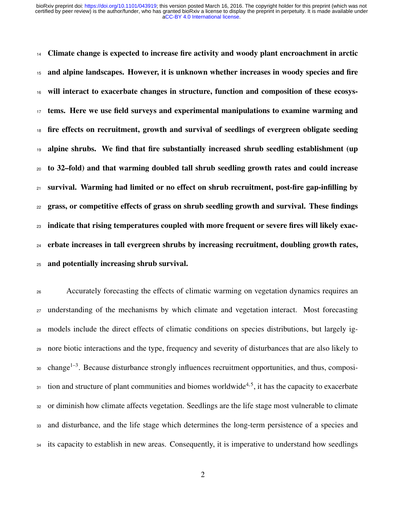<sup>14</sup> Climate change is expected to increase fire activity and woody plant encroachment in arctic and alpine landscapes. However, it is unknown whether increases in woody species and fire will interact to exacerbate changes in structure, function and composition of these ecosys- tems. Here we use field surveys and experimental manipulations to examine warming and <sup>18</sup> fire effects on recruitment, growth and survival of seedlings of evergreen obligate seeding alpine shrubs. We find that fire substantially increased shrub seedling establishment (up to 32–fold) and that warming doubled tall shrub seedling growth rates and could increase  $_{21}$  survival. Warming had limited or no effect on shrub recruitment, post-fire gap-infilling by grass, or competitive effects of grass on shrub seedling growth and survival. These findings indicate that rising temperatures coupled with more frequent or severe fires will likely exac- erbate increases in tall evergreen shrubs by increasing recruitment, doubling growth rates, and potentially increasing shrub survival.

 Accurately forecasting the effects of climatic warming on vegetation dynamics requires an understanding of the mechanisms by which climate and vegetation interact. Most forecasting models include the direct effects of climatic conditions on species distributions, but largely ig- nore biotic interactions and the type, frequency and severity of disturbances that are also likely to 0 change<sup>1-3</sup>. Because disturbance strongly influences recruitment opportunities, and thus, composi- $_{31}$  tion and structure of plant communities and biomes worldwide<sup>[4,](#page-14-2)5</sup>, it has the capacity to exacerbate or diminish how climate affects vegetation. Seedlings are the life stage most vulnerable to climate and disturbance, and the life stage which determines the long-term persistence of a species and <sup>34</sup> its capacity to establish in new areas. Consequently, it is imperative to understand how seedlings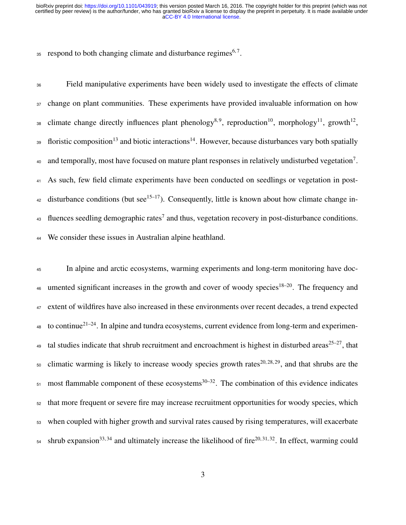$35$  respond to both changing climate and disturbance regimes<sup>[6,](#page-15-1)7</sup>.

<sup>36</sup> Field manipulative experiments have been widely used to investigate the effects of climate <sup>37</sup> change on plant communities. These experiments have provided invaluable information on how 38 climate change directly influences plant phenology<sup>[8,](#page-15-3)9</sup>, reproduction<sup>[10](#page-15-5)</sup>, morphology<sup>[11](#page-15-6)</sup>, growth<sup>[12](#page-15-7)</sup>, 39 floristic composition<sup>[13](#page-16-0)</sup> and biotic interactions<sup>[14](#page-16-1)</sup>. However, because disturbances vary both spatially 40 and temporally, most have focused on mature plant responses in relatively undisturbed vegetation<sup>[7](#page-15-2)</sup>. <sup>41</sup> As such, few field climate experiments have been conducted on seedlings or vegetation in post-42 disturbance conditions (but see<sup>[15](#page-16-2)[–17](#page-16-3)</sup>). Consequently, little is known about how climate change in-43 fluences seedling demographic rates<sup>[7](#page-15-2)</sup> and thus, vegetation recovery in post-disturbance conditions. <sup>44</sup> We consider these issues in Australian alpine heathland.

 In alpine and arctic ecosystems, warming experiments and long-term monitoring have doc- umented significant increases in the growth and cover of woody species<sup>[18](#page-16-4)[–20](#page-16-5)</sup>. The frequency and extent of wildfires have also increased in these environments over recent decades, a trend expected 48 to continue<sup>[21–](#page-16-6)[24](#page-17-0)</sup>. In alpine and tundra ecosystems, current evidence from long-term and experimen-49 tal studies indicate that shrub recruitment and encroachment is highest in disturbed areas $25-27$  $25-27$ , that climatic warming is likely to increase woody species growth rates<sup>[20,](#page-16-5) [28,](#page-17-3) [29](#page-18-0)</sup>, and that shrubs are the most flammable component of these ecosystems<sup>[30–](#page-18-1)[32](#page-18-2)</sup>. The combination of this evidence indicates that more frequent or severe fire may increase recruitment opportunities for woody species, which when coupled with higher growth and survival rates caused by rising temperatures, will exacerbate shrub expansion<sup>[33,](#page-18-3) [34](#page-18-4)</sup> and ultimately increase the likelihood of fire<sup>[20,](#page-16-5) [31,](#page-18-5) [32](#page-18-2)</sup>. In effect, warming could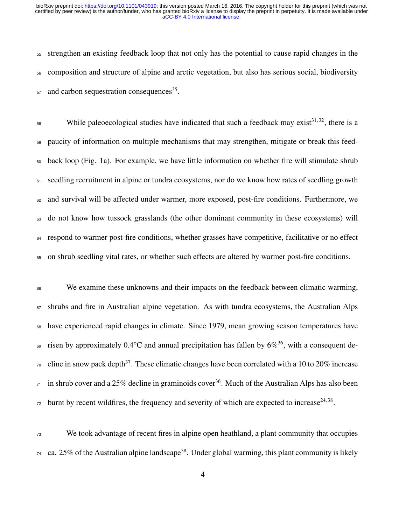strengthen an existing feedback loop that not only has the potential to cause rapid changes in the composition and structure of alpine and arctic vegetation, but also has serious social, biodiversity and carbon sequestration consequences<sup>[35](#page-18-6)</sup>.

58 While paleoecological studies have indicated that such a feedback may exist<sup>[31,](#page-18-5)32</sup>, there is a paucity of information on multiple mechanisms that may strengthen, mitigate or break this feed- back loop (Fig. [1a](#page-21-0)). For example, we have little information on whether fire will stimulate shrub <sup>61</sup> seedling recruitment in alpine or tundra ecosystems, nor do we know how rates of seedling growth and survival will be affected under warmer, more exposed, post-fire conditions. Furthermore, we do not know how tussock grasslands (the other dominant community in these ecosystems) will respond to warmer post-fire conditions, whether grasses have competitive, facilitative or no effect on shrub seedling vital rates, or whether such effects are altered by warmer post-fire conditions.

<sup>66</sup> We examine these unknowns and their impacts on the feedback between climatic warming, shrubs and fire in Australian alpine vegetation. As with tundra ecosystems, the Australian Alps have experienced rapid changes in climate. Since 1979, mean growing season temperatures have  $\epsilon$  risen by approximately 0.4°C and annual precipitation has fallen by 6%<sup>[36](#page-18-7)</sup>, with a consequent de- $\sigma$  cline in snow pack depth<sup>[37](#page-19-0)</sup>. These climatic changes have been correlated with a 10 to 20% increase in shrub cover and a 25% decline in graminoids cover<sup>[36](#page-18-7)</sup>. Much of the Australian Alps has also been  $\mu$  burnt by recent wildfires, the frequency and severity of which are expected to increase<sup>[24,](#page-17-0) [38](#page-19-1)</sup>.

 We took advantage of recent fires in alpine open heathland, a plant community that occupies ca. 25% of the Australian alpine landscape<sup>[38](#page-19-1)</sup>. Under global warming, this plant community is likely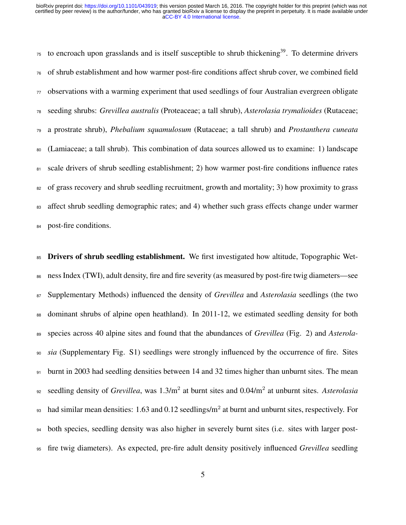to encroach upon grasslands and is itself susceptible to shrub thickening<sup>[39](#page-19-2)</sup>. To determine drivers of shrub establishment and how warmer post-fire conditions affect shrub cover, we combined field observations with a warming experiment that used seedlings of four Australian evergreen obligate seeding shrubs: *Grevillea australis* (Proteaceae; a tall shrub), *Asterolasia trymalioides* (Rutaceae; a prostrate shrub), *Phebalium squamulosum* (Rutaceae; a tall shrub) and *Prostanthera cuneata* (Lamiaceae; a tall shrub). This combination of data sources allowed us to examine: 1) landscape 81 scale drivers of shrub seedling establishment; 2) how warmer post-fire conditions influence rates <sup>82</sup> of grass recovery and shrub seedling recruitment, growth and mortality; 3) how proximity to grass <sup>83</sup> affect shrub seedling demographic rates; and 4) whether such grass effects change under warmer post-fire conditions.

**Drivers of shrub seedling establishment.** We first investigated how altitude, Topographic Wet- ness Index (TWI), adult density, fire and fire severity (as measured by post-fire twig diameters—see Supplementary Methods) influenced the density of *Grevillea* and *Asterolasia* seedlings (the two dominant shrubs of alpine open heathland). In 2011-12, we estimated seedling density for both species across 40 alpine sites and found that the abundances of *Grevillea* (Fig. [2\)](#page-22-0) and *Asterola- sia* (Supplementary Fig. S1) seedlings were strongly influenced by the occurrence of fire. Sites 91 burnt in 2003 had seedling densities between 14 and 32 times higher than unburnt sites. The mean seedling density of *Grevillea*, was 1.3/m<sup>2</sup> at burnt sites and 0.04/m<sup>2</sup> at unburnt sites. *Asterolasia*  $\mu$  had similar mean densities: 1.63 and 0.12 seedlings/m<sup>2</sup> at burnt and unburnt sites, respectively. For both species, seedling density was also higher in severely burnt sites (i.e. sites with larger post-fire twig diameters). As expected, pre-fire adult density positively influenced *Grevillea* seedling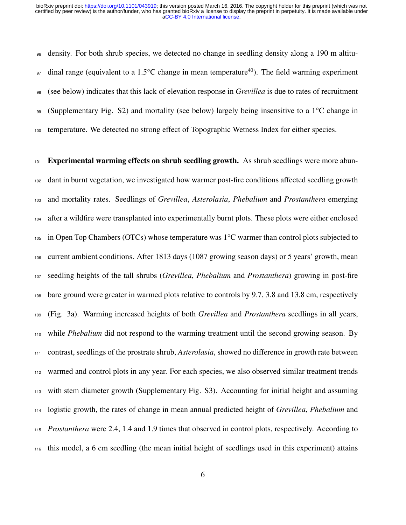density. For both shrub species, we detected no change in seedling density along a 190 m altitu-<sup>97</sup> dinal range (equivalent to a 1.5°C change in mean temperature<sup>[40](#page-19-3)</sup>). The field warming experiment (see below) indicates that this lack of elevation response in *Grevillea* is due to rates of recruitment 99 (Supplementary Fig. S2) and mortality (see below) largely being insensitive to a  $1^{\circ}$ C change in temperature. We detected no strong effect of Topographic Wetness Index for either species.

 Experimental warming effects on shrub seedling growth. As shrub seedlings were more abun- dant in burnt vegetation, we investigated how warmer post-fire conditions affected seedling growth and mortality rates. Seedlings of *Grevillea*, *Asterolasia*, *Phebalium* and *Prostanthera* emerging after a wildfire were transplanted into experimentally burnt plots. These plots were either enclosed in Open Top Chambers (OTCs) whose temperature was 1°C warmer than control plots subjected to current ambient conditions. After 1813 days (1087 growing season days) or 5 years' growth, mean seedling heights of the tall shrubs (*Grevillea*, *Phebalium* and *Prostanthera*) growing in post-fire bare ground were greater in warmed plots relative to controls by 9.7, 3.8 and 13.8 cm, respectively (Fig. [3a](#page-23-0)). Warming increased heights of both *Grevillea* and *Prostanthera* seedlings in all years, while *Phebalium* did not respond to the warming treatment until the second growing season. By contrast, seedlings of the prostrate shrub, *Asterolasia*, showed no difference in growth rate between warmed and control plots in any year. For each species, we also observed similar treatment trends with stem diameter growth (Supplementary Fig. S3). Accounting for initial height and assuming logistic growth, the rates of change in mean annual predicted height of *Grevillea*, *Phebalium* and *Prostanthera* were 2.4, 1.4 and 1.9 times that observed in control plots, respectively. According to this model, a 6 cm seedling (the mean initial height of seedlings used in this experiment) attains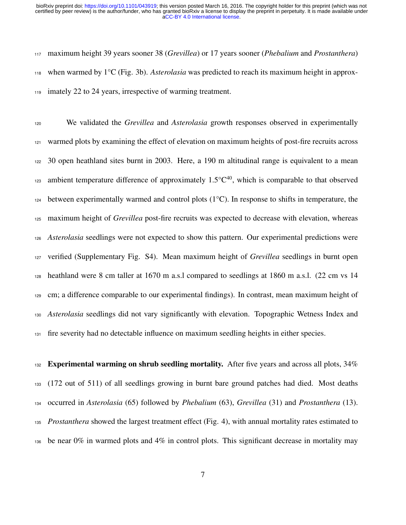maximum height 39 years sooner 38 (*Grevillea*) or 17 years sooner (*Phebalium* and *Prostanthera*) when warmed by 1°C (Fig. [3b](#page-23-0)). *Asterolasia* was predicted to reach its maximum height in approx-imately 22 to 24 years, irrespective of warming treatment.

 We validated the *Grevillea* and *Asterolasia* growth responses observed in experimentally warmed plots by examining the effect of elevation on maximum heights of post-fire recruits across 30 open heathland sites burnt in 2003. Here, a 190 m altitudinal range is equivalent to a mean and ambient temperature difference of approximately  $1.5^{\circ}C^{40}$  $1.5^{\circ}C^{40}$  $1.5^{\circ}C^{40}$ , which is comparable to that observed 124 between experimentally warmed and control plots  $(1^{\circ}C)$ . In response to shifts in temperature, the maximum height of *Grevillea* post-fire recruits was expected to decrease with elevation, whereas *Asterolasia* seedlings were not expected to show this pattern. Our experimental predictions were verified (Supplementary Fig. S4). Mean maximum height of *Grevillea* seedlings in burnt open heathland were 8 cm taller at 1670 m a.s.l compared to seedlings at 1860 m a.s.l. (22 cm vs 14 cm; a difference comparable to our experimental findings). In contrast, mean maximum height of *Asterolasia* seedlings did not vary significantly with elevation. Topographic Wetness Index and fire severity had no detectable influence on maximum seedling heights in either species.

 Experimental warming on shrub seedling mortality. After five years and across all plots,  $34\%$  (172 out of 511) of all seedlings growing in burnt bare ground patches had died. Most deaths occurred in *Asterolasia* (65) followed by *Phebalium* (63), *Grevillea* (31) and *Prostanthera* (13). *Prostanthera* showed the largest treatment effect (Fig. [4\)](#page-24-0), with annual mortality rates estimated to be near 0% in warmed plots and 4% in control plots. This significant decrease in mortality may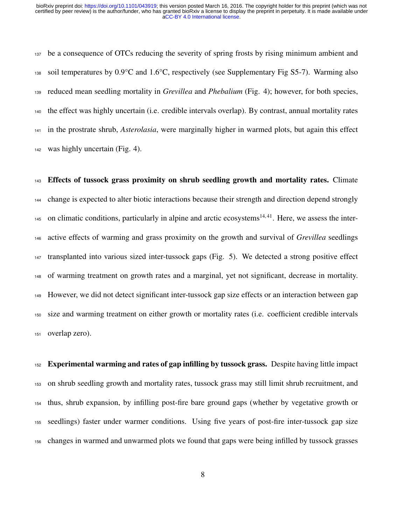be a consequence of OTCs reducing the severity of spring frosts by rising minimum ambient and 138 soil temperatures by  $0.9^{\circ}$ C and  $1.6^{\circ}$ C, respectively (see Supplementary Fig S5-7). Warming also reduced mean seedling mortality in *Grevillea* and *Phebalium* (Fig. [4\)](#page-24-0); however, for both species, the effect was highly uncertain (i.e. credible intervals overlap). By contrast, annual mortality rates in the prostrate shrub, *Asterolasia*, were marginally higher in warmed plots, but again this effect was highly uncertain (Fig. [4\)](#page-24-0).

 Effects of tussock grass proximity on shrub seedling growth and mortality rates. Climate change is expected to alter biotic interactions because their strength and direction depend strongly  $_{145}$  on climatic conditions, particularly in alpine and arctic ecosystems<sup>[14,](#page-16-1)41</sup>. Here, we assess the inter- active effects of warming and grass proximity on the growth and survival of *Grevillea* seedlings transplanted into various sized inter-tussock gaps (Fig. [5\)](#page-25-0). We detected a strong positive effect of warming treatment on growth rates and a marginal, yet not significant, decrease in mortality. However, we did not detect significant inter-tussock gap size effects or an interaction between gap size and warming treatment on either growth or mortality rates (i.e. coefficient credible intervals overlap zero).

152 Experimental warming and rates of gap infilling by tussock grass. Despite having little impact on shrub seedling growth and mortality rates, tussock grass may still limit shrub recruitment, and thus, shrub expansion, by infilling post-fire bare ground gaps (whether by vegetative growth or seedlings) faster under warmer conditions. Using five years of post-fire inter-tussock gap size changes in warmed and unwarmed plots we found that gaps were being infilled by tussock grasses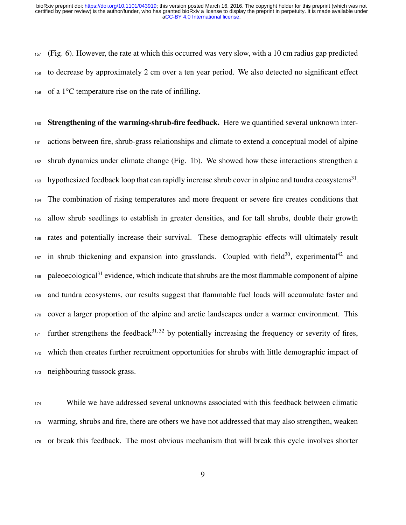(Fig. [6\)](#page-26-0). However, the rate at which this occurred was very slow, with a 10 cm radius gap predicted to decrease by approximately 2 cm over a ten year period. We also detected no significant effect of a 1<sup>o</sup>C temperature rise on the rate of infilling.

 Strengthening of the warming-shrub-fire feedback. Here we quantified several unknown inter- actions between fire, shrub-grass relationships and climate to extend a conceptual model of alpine shrub dynamics under climate change (Fig. [1b](#page-21-0)). We showed how these interactions strengthen a 163 hypothesized feedback loop that can rapidly increase shrub cover in alpine and tundra ecosystems<sup>[31](#page-18-5)</sup>. The combination of rising temperatures and more frequent or severe fire creates conditions that allow shrub seedlings to establish in greater densities, and for tall shrubs, double their growth rates and potentially increase their survival. These demographic effects will ultimately result in shrub thickening and expansion into grasslands. Coupled with field<sup>[30](#page-18-1)</sup>, experimental<sup>[42](#page-19-5)</sup> and 168 paleoecological<sup>[31](#page-18-5)</sup> evidence, which indicate that shrubs are the most flammable component of alpine and tundra ecosystems, our results suggest that flammable fuel loads will accumulate faster and cover a larger proportion of the alpine and arctic landscapes under a warmer environment. This further strengthens the feedback<sup>[31,](#page-18-5)32</sup> by potentially increasing the frequency or severity of fires, which then creates further recruitment opportunities for shrubs with little demographic impact of neighbouring tussock grass.

 While we have addressed several unknowns associated with this feedback between climatic warming, shrubs and fire, there are others we have not addressed that may also strengthen, weaken or break this feedback. The most obvious mechanism that will break this cycle involves shorter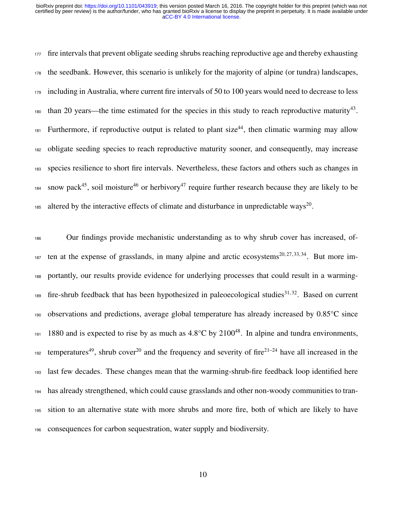177 fire intervals that prevent obligate seeding shrubs reaching reproductive age and thereby exhausting the seedbank. However, this scenario is unlikely for the majority of alpine (or tundra) landscapes, including in Australia, where current fire intervals of 50 to 100 years would need to decrease to less than 20 years—the time estimated for the species in this study to reach reproductive maturity<sup>[43](#page-19-6)</sup>. Furthermore, if reproductive output is related to plant size<sup>[44](#page-19-7)</sup>, then climatic warming may allow obligate seeding species to reach reproductive maturity sooner, and consequently, may increase species resilience to short fire intervals. Nevertheless, these factors and others such as changes in snow pack<sup>[45](#page-20-0)</sup>, soil moisture<sup>[46](#page-20-1)</sup> or herbivory<sup>[47](#page-20-2)</sup> require further research because they are likely to be 185 altered by the interactive effects of climate and disturbance in unpredictable ways<sup>[20](#page-16-5)</sup>.

 Our findings provide mechanistic understanding as to why shrub cover has increased, of- ten at the expense of grasslands, in many alpine and arctic ecosystems<sup>[20,](#page-16-5) [27,](#page-17-2) [33,](#page-18-3) [34](#page-18-4)</sup>. But more im- portantly, our results provide evidence for underlying processes that could result in a warming-189 fire-shrub feedback that has been hypothesized in paleoecological studies<sup>[31,](#page-18-5)32</sup>. Based on current observations and predictions, average global temperature has already increased by 0.85°C since 191 1880 and is expected to rise by as much as  $4.8^{\circ}$ C by  $2100^{48}$  $2100^{48}$  $2100^{48}$ . In alpine and tundra environments, temperatures<sup>[49](#page-20-4)</sup>, shrub cover<sup>[20](#page-16-5)</sup> and the frequency and severity of fire<sup>[21–](#page-16-6)[24](#page-17-0)</sup> have all increased in the last few decades. These changes mean that the warming-shrub-fire feedback loop identified here has already strengthened, which could cause grasslands and other non-woody communities to tran- sition to an alternative state with more shrubs and more fire, both of which are likely to have consequences for carbon sequestration, water supply and biodiversity.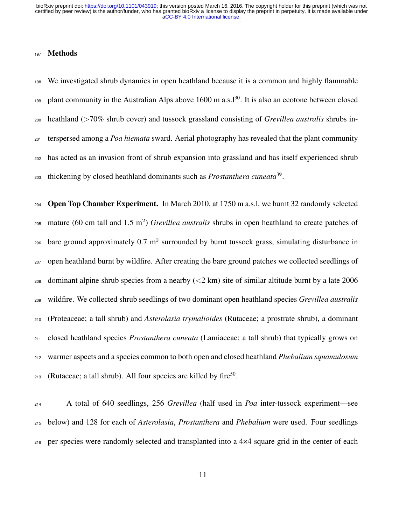#### Methods

 We investigated shrub dynamics in open heathland because it is a common and highly flammable 199 plant community in the Australian Alps above m a.s.  $1^{30}$  $1^{30}$  $1^{30}$ . It is also an ecotone between closed heathland (>70% shrub cover) and tussock grassland consisting of *Grevillea australis* shrubs in- terspersed among a *Poa hiemata* sward. Aerial photography has revealed that the plant community has acted as an invasion front of shrub expansion into grassland and has itself experienced shrub thickening by closed heathland dominants such as *Prostanthera cuneata*[39](#page-19-2) .

204 Open Top Chamber Experiment. In March 2010, at 1750 m a.s.l, we burnt 32 randomly selected mature (60 cm tall and 1.5 m<sup>2</sup> ) *Grevillea australis* shrubs in open heathland to create patches of  $_{206}$  bare ground approximately 0.7 m<sup>2</sup> surrounded by burnt tussock grass, simulating disturbance in open heathland burnt by wildfire. After creating the bare ground patches we collected seedlings of 208 dominant alpine shrub species from a nearby  $(< 2 \text{ km})$  site of similar altitude burnt by a late 2006 wildfire. We collected shrub seedlings of two dominant open heathland species *Grevillea australis* (Proteaceae; a tall shrub) and *Asterolasia trymalioides* (Rutaceae; a prostrate shrub), a dominant closed heathland species *Prostanthera cuneata* (Lamiaceae; a tall shrub) that typically grows on warmer aspects and a species common to both open and closed heathland *Phebalium squamulosum* 213 (Rutaceae; a tall shrub). All four species are killed by fire<sup>[50](#page-20-5)</sup>.

 A total of 640 seedlings, 256 *Grevillea* (half used in *Poa* inter-tussock experiment—see below) and 128 for each of *Asterolasia*, *Prostanthera* and *Phebalium* were used. Four seedlings per species were randomly selected and transplanted into a 4×4 square grid in the center of each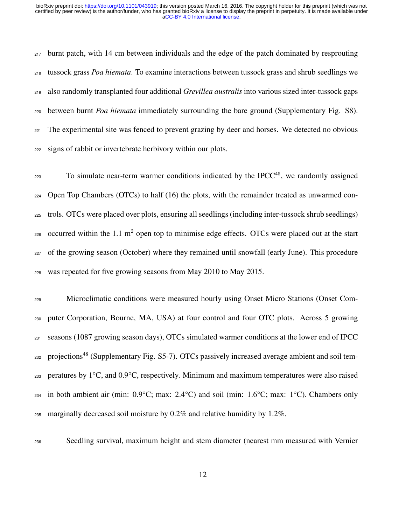burnt patch, with 14 cm between individuals and the edge of the patch dominated by resprouting tussock grass *Poa hiemata*. To examine interactions between tussock grass and shrub seedlings we also randomly transplanted four additional *Grevillea australis* into various sized inter-tussock gaps between burnt *Poa hiemata* immediately surrounding the bare ground (Supplementary Fig. S8). The experimental site was fenced to prevent grazing by deer and horses. We detected no obvious signs of rabbit or invertebrate herbivory within our plots.

223 To simulate near-term warmer conditions indicated by the IPCC<sup>[48](#page-20-3)</sup>, we randomly assigned  $_{224}$  Open Top Chambers (OTCs) to half (16) the plots, with the remainder treated as unwarmed con- trols. OTCs were placed over plots, ensuring all seedlings (including inter-tussock shrub seedlings)  $_{226}$  occurred within the 1.1 m<sup>2</sup> open top to minimise edge effects. OTCs were placed out at the start of the growing season (October) where they remained until snowfall (early June). This procedure was repeated for five growing seasons from May 2010 to May 2015.

 Microclimatic conditions were measured hourly using Onset Micro Stations (Onset Com- puter Corporation, Bourne, MA, USA) at four control and four OTC plots. Across 5 growing seasons (1087 growing season days), OTCs simulated warmer conditions at the lower end of IPCC 232 projections<sup>[48](#page-20-3)</sup> (Supplementary Fig. S5-7). OTCs passively increased average ambient and soil tem- peratures by 1°C, and 0.9°C, respectively. Minimum and maximum temperatures were also raised  $_{234}$  in both ambient air (min:  $0.9^{\circ}$ C; max:  $2.4^{\circ}$ C) and soil (min:  $1.6^{\circ}$ C; max:  $1^{\circ}$ C). Chambers only 235 marginally decreased soil moisture by  $0.2\%$  and relative humidity by 1.2%.

Seedling survival, maximum height and stem diameter (nearest mm measured with Vernier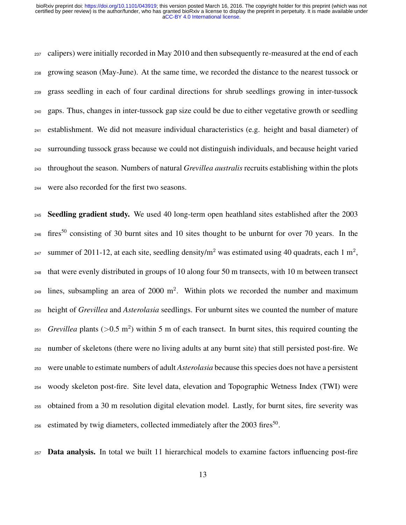calipers) were initially recorded in May 2010 and then subsequently re-measured at the end of each growing season (May-June). At the same time, we recorded the distance to the nearest tussock or grass seedling in each of four cardinal directions for shrub seedlings growing in inter-tussock gaps. Thus, changes in inter-tussock gap size could be due to either vegetative growth or seedling establishment. We did not measure individual characteristics (e.g. height and basal diameter) of surrounding tussock grass because we could not distinguish individuals, and because height varied throughout the season. Numbers of natural *Grevillea australis* recruits establishing within the plots were also recorded for the first two seasons.

 Seedling gradient study. We used 40 long-term open heathland sites established after the 2003 <sup>246</sup> fires<sup>[50](#page-20-5)</sup> consisting of 30 burnt sites and 10 sites thought to be unburnt for over 70 years. In the <sup>247</sup> summer of 2011-12, at each site, seedling density/m<sup>2</sup> was estimated using 40 quadrats, each 1 m<sup>2</sup>, that were evenly distributed in groups of 10 along four 50 m transects, with 10 m between transect  $_{249}$  lines, subsampling an area of 2000 m<sup>2</sup>. Within plots we recorded the number and maximum height of *Grevillea* and *Asterolasia* seedlings. For unburnt sites we counted the number of mature  $F_{251}$  *Grevillea* plants ( $>0.5$  m<sup>2</sup>) within 5 m of each transect. In burnt sites, this required counting the number of skeletons (there were no living adults at any burnt site) that still persisted post-fire. We were unable to estimate numbers of adult *Asterolasia* because this species does not have a persistent woody skeleton post-fire. Site level data, elevation and Topographic Wetness Index (TWI) were obtained from a 30 m resolution digital elevation model. Lastly, for burnt sites, fire severity was  $_{256}$  estimated by twig diameters, collected immediately after the 2003 fires<sup>[50](#page-20-5)</sup>.

Data analysis. In total we built 11 hierarchical models to examine factors influencing post-fire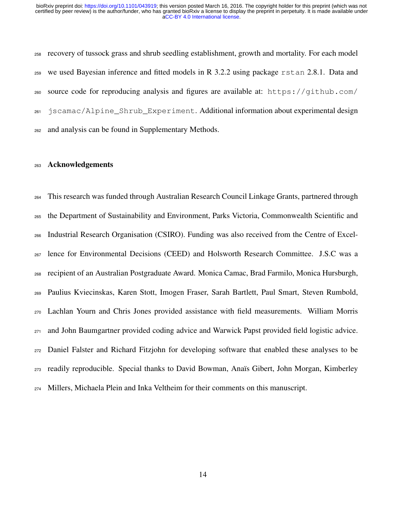recovery of tussock grass and shrub seedling establishment, growth and mortality. For each model we used Bayesian inference and fitted models in R 3.2.2 using package rstan 2.8.1. Data and [s](https://github.com/jscamac/Alpine_Shrub_Experiment)ource code for reproducing analysis and figures are available at: [https://github.com/](https://github.com/jscamac/Alpine_Shrub_Experiment) [jscamac/Alpine\\_Shrub\\_Experiment](https://github.com/jscamac/Alpine_Shrub_Experiment). Additional information about experimental design and analysis can be found in Supplementary Methods.

#### Acknowledgements

 This research was funded through Australian Research Council Linkage Grants, partnered through the Department of Sustainability and Environment, Parks Victoria, Commonwealth Scientific and Industrial Research Organisation (CSIRO). Funding was also received from the Centre of Excel- lence for Environmental Decisions (CEED) and Holsworth Research Committee. J.S.C was a recipient of an Australian Postgraduate Award. Monica Camac, Brad Farmilo, Monica Hursburgh, Paulius Kviecinskas, Karen Stott, Imogen Fraser, Sarah Bartlett, Paul Smart, Steven Rumbold, Lachlan Yourn and Chris Jones provided assistance with field measurements. William Morris and John Baumgartner provided coding advice and Warwick Papst provided field logistic advice. Daniel Falster and Richard Fitzjohn for developing software that enabled these analyses to be readily reproducible. Special thanks to David Bowman, Ana¨ıs Gibert, John Morgan, Kimberley Millers, Michaela Plein and Inka Veltheim for their comments on this manuscript.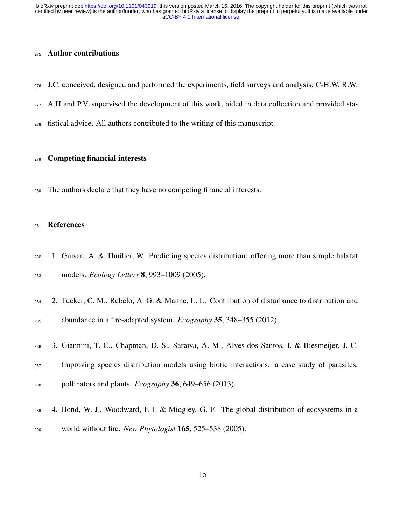## Author contributions

- J.C. conceived, designed and performed the experiments, field surveys and analysis; C-H.W, R.W,
- 277 A.H and P.V. supervised the development of this work, aided in data collection and provided sta-
- tistical advice. All authors contributed to the writing of this manuscript.

### Competing financial interests

The authors declare that they have no competing financial interests.

## <span id="page-14-0"></span>References

- 1. Guisan, A. & Thuiller, W. Predicting species distribution: offering more than simple habitat models. *Ecology Letters* 8, 993–1009 (2005).
- 2. Tucker, C. M., Rebelo, A. G. & Manne, L. L. Contribution of disturbance to distribution and abundance in a fire-adapted system. *Ecography* 35, 348–355 (2012).
- <span id="page-14-1"></span> 3. Giannini, T. C., Chapman, D. S., Saraiva, A. M., Alves-dos Santos, I. & Biesmeijer, J. C. Improving species distribution models using biotic interactions: a case study of parasites, pollinators and plants. *Ecography* 36, 649–656 (2013).
- <span id="page-14-2"></span> 4. Bond, W. J., Woodward, F. I. & Midgley, G. F. The global distribution of ecosystems in a world without fire. *New Phytologist* 165, 525–538 (2005).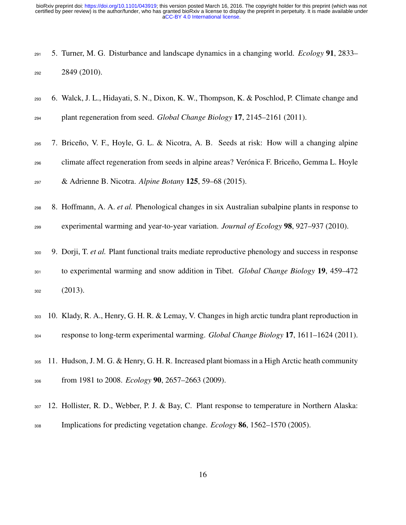<span id="page-15-0"></span>

|     |              | $_{291}$ 5. Turner, M. G. Disturbance and landscape dynamics in a changing world. <i>Ecology</i> 91, 2833– |  |
|-----|--------------|------------------------------------------------------------------------------------------------------------|--|
| 292 | 2849 (2010). |                                                                                                            |  |

- <span id="page-15-1"></span> 6. Walck, J. L., Hidayati, S. N., Dixon, K. W., Thompson, K. & Poschlod, P. Climate change and plant regeneration from seed. *Global Change Biology* 17, 2145–2161 (2011).
- <span id="page-15-2"></span>295 7. Briceño, V. F., Hoyle, G. L. & Nicotra, A. B. Seeds at risk: How will a changing alpine <sup>296</sup> climate affect regeneration from seeds in alpine areas? Verónica F. Briceño, Gemma L. Hoyle & Adrienne B. Nicotra. *Alpine Botany* 125, 59–68 (2015).
- <span id="page-15-3"></span>8. Hoffmann, A. A. *et al.* Phenological changes in six Australian subalpine plants in response to
- <span id="page-15-4"></span>experimental warming and year-to-year variation. *Journal of Ecology* 98, 927–937 (2010).
- 9. Dorji, T. *et al.* Plant functional traits mediate reproductive phenology and success in response to experimental warming and snow addition in Tibet. *Global Change Biology* 19, 459–472  $302 \hspace{1.5cm} (2013).$
- <span id="page-15-5"></span> 10. Klady, R. A., Henry, G. H. R. & Lemay, V. Changes in high arctic tundra plant reproduction in response to long-term experimental warming. *Global Change Biology* 17, 1611–1624 (2011).
- <span id="page-15-6"></span> 11. Hudson, J. M. G. & Henry, G. H. R. Increased plant biomass in a High Arctic heath community from 1981 to 2008. *Ecology* 90, 2657–2663 (2009).
- <span id="page-15-7"></span> 12. Hollister, R. D., Webber, P. J. & Bay, C. Plant response to temperature in Northern Alaska: Implications for predicting vegetation change. *Ecology* 86, 1562–1570 (2005).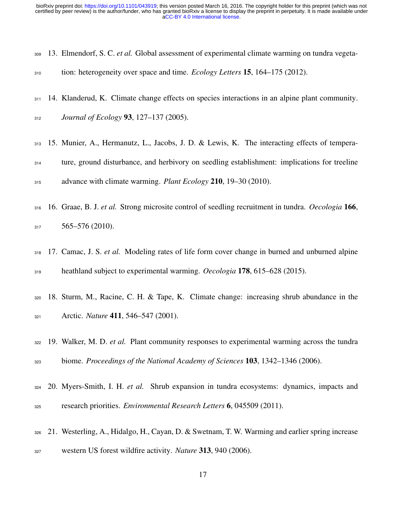<span id="page-16-0"></span>

|     | 309 13. Elmendorf, S. C. et al. Global assessment of experimental climate warming on tundra vegeta- |  |  |  |
|-----|-----------------------------------------------------------------------------------------------------|--|--|--|
| 310 | tion: heterogeneity over space and time. <i>Ecology Letters</i> 15, 164–175 (2012).                 |  |  |  |

- <span id="page-16-1"></span>311 14. Klanderud, K. Climate change effects on species interactions in an alpine plant community.
- <span id="page-16-2"></span>*Journal of Ecology* 93, 127–137 (2005).
- 15. Munier, A., Hermanutz, L., Jacobs, J. D. & Lewis, K. The interacting effects of tempera- ture, ground disturbance, and herbivory on seedling establishment: implications for treeline advance with climate warming. *Plant Ecology* 210, 19–30 (2010).
- 16. Graae, B. J. *et al.* Strong microsite control of seedling recruitment in tundra. *Oecologia* 166, 565–576 (2010).
- <span id="page-16-3"></span> 17. Camac, J. S. *et al.* Modeling rates of life form cover change in burned and unburned alpine heathland subject to experimental warming. *Oecologia* 178, 615–628 (2015).
- <span id="page-16-4"></span> 18. Sturm, M., Racine, C. H. & Tape, K. Climate change: increasing shrub abundance in the Arctic. *Nature* 411, 546–547 (2001).
- 19. Walker, M. D. *et al.* Plant community responses to experimental warming across the tundra biome. *Proceedings of the National Academy of Sciences* 103, 1342–1346 (2006).
- <span id="page-16-5"></span> 20. Myers-Smith, I. H. *et al.* Shrub expansion in tundra ecosystems: dynamics, impacts and research priorities. *Environmental Research Letters* 6, 045509 (2011).
- <span id="page-16-6"></span> 21. Westerling, A., Hidalgo, H., Cayan, D. & Swetnam, T. W. Warming and earlier spring increase western US forest wildfire activity. *Nature* 313, 940 (2006).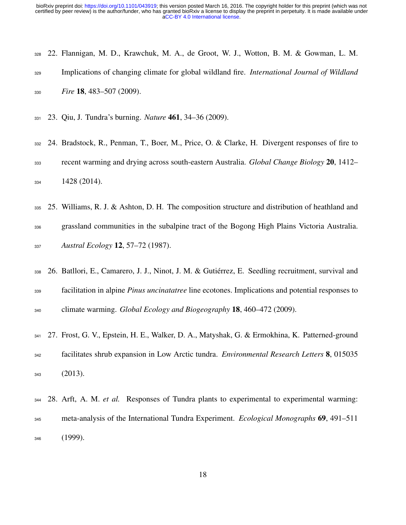- 22. Flannigan, M. D., Krawchuk, M. A., de Groot, W. J., Wotton, B. M. & Gowman, L. M. Implications of changing climate for global wildland fire. *International Journal of Wildland Fire* 18, 483–507 (2009).
- <span id="page-17-0"></span>23. Qiu, J. Tundra's burning. *Nature* 461, 34–36 (2009).
- 24. Bradstock, R., Penman, T., Boer, M., Price, O. & Clarke, H. Divergent responses of fire to recent warming and drying across south-eastern Australia. *Global Change Biology* 20, 1412– 1428 (2014).
- <span id="page-17-1"></span> 25. Williams, R. J. & Ashton, D. H. The composition structure and distribution of heathland and grassland communities in the subalpine tract of the Bogong High Plains Victoria Australia. *Austral Ecology* 12, 57–72 (1987).
- 26. Batllori, E., Camarero, J. J., Ninot, J. M. & Gutierrez, E. Seedling recruitment, survival and ´ facilitation in alpine *Pinus uncinatatree* line ecotones. Implications and potential responses to climate warming. *Global Ecology and Biogeography* 18, 460–472 (2009).
- <span id="page-17-2"></span> 27. Frost, G. V., Epstein, H. E., Walker, D. A., Matyshak, G. & Ermokhina, K. Patterned-ground facilitates shrub expansion in Low Arctic tundra. *Environmental Research Letters* 8, 015035 (2013).

<span id="page-17-3"></span> 28. Arft, A. M. *et al.* Responses of Tundra plants to experimental to experimental warming: meta-analysis of the International Tundra Experiment. *Ecological Monographs* 69, 491–511 (1999).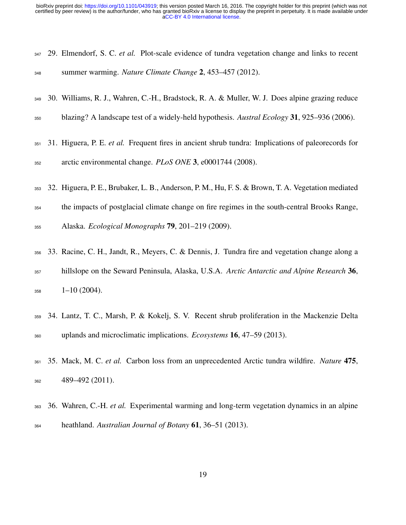<span id="page-18-0"></span>

|     | 347 29. Elmendorf, S. C. <i>et al.</i> Plot-scale evidence of tundra vegetation change and links to recent |  |  |  |  |
|-----|------------------------------------------------------------------------------------------------------------|--|--|--|--|
| 348 | summer warming. Nature Climate Change 2, 453–457 (2012).                                                   |  |  |  |  |

- <span id="page-18-1"></span>30. Williams, R. J., Wahren, C.-H., Bradstock, R. A. & Muller, W. J. Does alpine grazing reduce
- <span id="page-18-5"></span>blazing? A landscape test of a widely-held hypothesis. *Austral Ecology* 31, 925–936 (2006).
- 31. Higuera, P. E. *et al.* Frequent fires in ancient shrub tundra: Implications of paleorecords for arctic environmental change. *PLoS ONE* 3, e0001744 (2008).
- <span id="page-18-2"></span>32. Higuera, P. E., Brubaker, L. B., Anderson, P. M., Hu, F. S. & Brown, T. A. Vegetation mediated
- the impacts of postglacial climate change on fire regimes in the south-central Brooks Range,
- <span id="page-18-3"></span>Alaska. *Ecological Monographs* 79, 201–219 (2009).
- 33. Racine, C. H., Jandt, R., Meyers, C. & Dennis, J. Tundra fire and vegetation change along a hillslope on the Seward Peninsula, Alaska, U.S.A. *Arctic Antarctic and Alpine Research* 36,  $358 \qquad 1-10 \ (2004).$
- <span id="page-18-4"></span> 34. Lantz, T. C., Marsh, P. & Kokelj, S. V. Recent shrub proliferation in the Mackenzie Delta uplands and microclimatic implications. *Ecosystems* 16, 47–59 (2013).
- <span id="page-18-6"></span> 35. Mack, M. C. *et al.* Carbon loss from an unprecedented Arctic tundra wildfire. *Nature* 475, 489–492 (2011).
- <span id="page-18-7"></span> 36. Wahren, C.-H. *et al.* Experimental warming and long-term vegetation dynamics in an alpine heathland. *Australian Journal of Botany* 61, 36–51 (2013).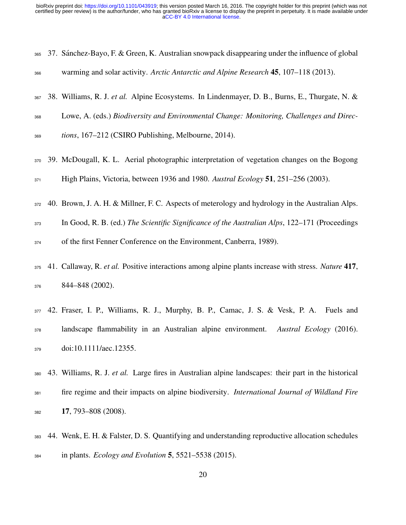<span id="page-19-7"></span><span id="page-19-6"></span><span id="page-19-5"></span><span id="page-19-4"></span><span id="page-19-3"></span><span id="page-19-2"></span><span id="page-19-1"></span><span id="page-19-0"></span>

| 365 | 37. Sánchez-Bayo, F. & Green, K. Australian snowpack disappearing under the influence of global      |
|-----|------------------------------------------------------------------------------------------------------|
| 366 | warming and solar activity. Arctic Antarctic and Alpine Research 45, 107-118 (2013).                 |
| 367 | 38. Williams, R. J. et al. Alpine Ecosystems. In Lindenmayer, D. B., Burns, E., Thurgate, N. &       |
| 368 | Lowe, A. (eds.) Biodiversity and Environmental Change: Monitoring, Challenges and Direc-             |
| 369 | tions, 167-212 (CSIRO Publishing, Melbourne, 2014).                                                  |
| 370 | 39. McDougall, K. L. Aerial photographic interpretation of vegetation changes on the Bogong          |
| 371 | High Plains, Victoria, between 1936 and 1980. Austral Ecology 51, 251–256 (2003).                    |
| 372 | 40. Brown, J. A. H. & Millner, F. C. Aspects of meterology and hydrology in the Australian Alps.     |
| 373 | In Good, R. B. (ed.) The Scientific Significance of the Australian Alps, 122-171 (Proceedings        |
| 374 | of the first Fenner Conference on the Environment, Canberra, 1989).                                  |
| 375 | 41. Callaway, R. et al. Positive interactions among alpine plants increase with stress. Nature 417,  |
| 376 | 844-848 (2002).                                                                                      |
| 377 | 42. Fraser, I. P., Williams, R. J., Murphy, B. P., Camac, J. S. & Vesk, P. A. Fuels and              |
| 378 | landscape flammability in an Australian alpine environment.<br>Austral Ecology (2016).               |
| 379 | doi:10.1111/aec.12355.                                                                               |
| 380 | 43. Williams, R. J. et al. Large fires in Australian alpine landscapes: their part in the historical |
| 381 | fire regime and their impacts on alpine biodiversity. International Journal of Wildland Fire         |
| 382 | 17, 793-808 (2008).                                                                                  |
| 383 | 44. Wenk, E. H. & Falster, D. S. Quantifying and understanding reproductive allocation schedules     |
| 384 | in plants. <i>Ecology and Evolution</i> 5, 5521–5538 (2015).                                         |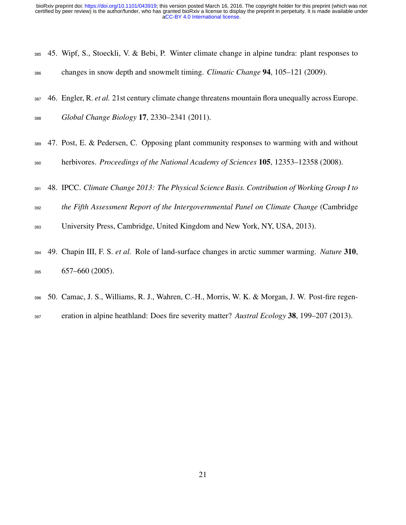<span id="page-20-0"></span>

|     | 385 45. Wipf, S., Stoeckli, V. & Bebi, P. Winter climate change in alpine tundra: plant responses to |  |
|-----|------------------------------------------------------------------------------------------------------|--|
| 386 | changes in snow depth and snowmelt timing. Climatic Change 94, 105–121 (2009).                       |  |

- <span id="page-20-1"></span>46. Engler, R. *et al.* 21st century climate change threatens mountain flora unequally across Europe.
- <span id="page-20-2"></span>*Global Change Biology* 17, 2330–2341 (2011).
- 47. Post, E. & Pedersen, C. Opposing plant community responses to warming with and without herbivores. *Proceedings of the National Academy of Sciences* 105, 12353–12358 (2008).
- <span id="page-20-3"></span>48. IPCC. *Climate Change 2013: The Physical Science Basis. Contribution of Working Group I to*
- *the Fifth Assessment Report of the Intergovernmental Panel on Climate Change* (Cambridge
- <span id="page-20-4"></span>University Press, Cambridge, United Kingdom and New York, NY, USA, 2013).
- 49. Chapin III, F. S. *et al.* Role of land-surface changes in arctic summer warming. *Nature* 310, 657–660 (2005).
- <span id="page-20-5"></span> 50. Camac, J. S., Williams, R. J., Wahren, C.-H., Morris, W. K. & Morgan, J. W. Post-fire regen-eration in alpine heathland: Does fire severity matter? *Austral Ecology* 38, 199–207 (2013).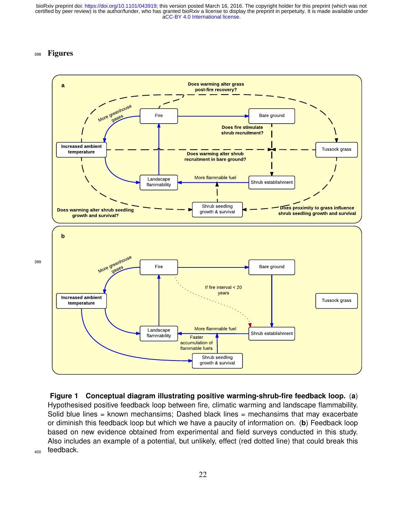### <sup>398</sup> Figures



<span id="page-21-0"></span>**Figure 1 Conceptual diagram illustrating positive warming-shrub-fire feedback loop.** (**a**) Hypothesised positive feedback loop between fire, climatic warming and landscape flammability. Solid blue lines = known mechansims; Dashed black lines = mechansims that may exacerbate or diminish this feedback loop but which we have a paucity of information on. (**b**) Feedback loop based on new evidence obtained from experimental and field surveys conducted in this study. Also includes an example of a potential, but unlikely, effect (red dotted line) that could break this feedback.

399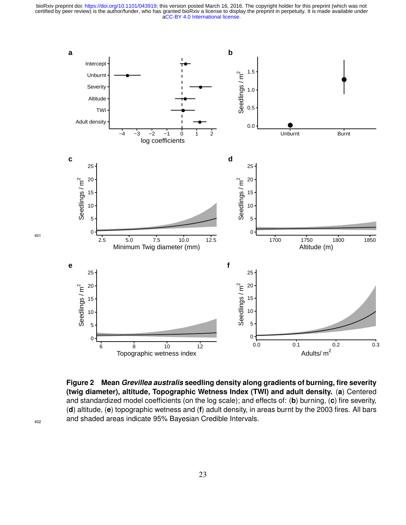

<span id="page-22-0"></span>**Figure 2 Mean** *Grevillea australis* **seedling density along gradients of burning, fire severity (twig diameter), altitude, Topographic Wetness Index (TWI) and adult density.** (**a**) Centered and standardized model coefficients (on the log scale); and effects of: (**b**) burning, (**c**) fire severity, (**d**) altitude, (**e**) topographic wetness and (**f**) adult density, in areas burnt by the 2003 fires. All bars and shaded areas indicate 95% Bayesian Credible Intervals.

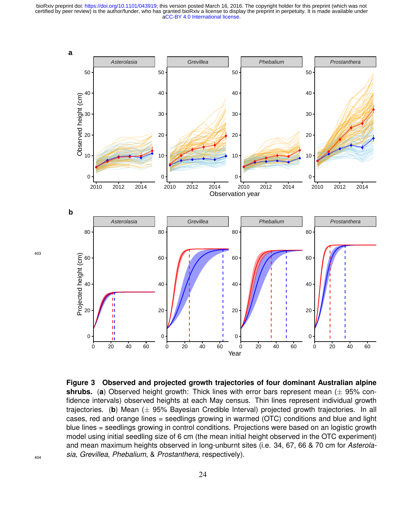[aCC-BY 4.0 International license.](http://creativecommons.org/licenses/by/4.0/) certified by peer review) is the author/funder, who has granted bioRxiv a license to display the preprint in perpetuity. It is made available under bioRxiv preprint doi: [https://doi.org/10.1101/043919;](https://doi.org/10.1101/043919) this version posted March 16, 2016. The copyright holder for this preprint (which was not



<span id="page-23-0"></span>**Figure 3 Observed and projected growth trajectories of four dominant Australian alpine shrubs.** (**a**) Observed height growth: Thick lines with error bars represent mean (± 95% confidence intervals) observed heights at each May census. Thin lines represent individual growth trajectories. (**b**) Mean (± 95% Bayesian Credible Interval) projected growth trajectories. In all cases, red and orange lines = seedlings growing in warmed (OTC) conditions and blue and light blue lines = seedlings growing in control conditions. Projections were based on an logistic growth model using initial seedling size of 6 cm (the mean initial height observed in the OTC experiment) and mean maximum heights observed in long-unburnt sites (i.e. 34, 67, 66 & 70 cm for *Asterolasia*, *Grevillea*, *Phebalium*, & *Prostanthera*, respectively).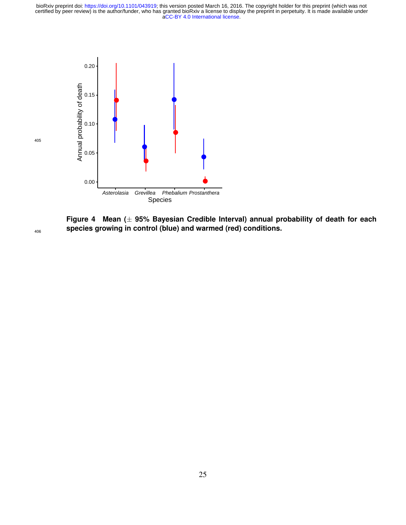

<span id="page-24-0"></span>**Figure 4 Mean (**± **95% Bayesian Credible Interval) annual probability of death for each species growing in control (blue) and warmed (red) conditions.**

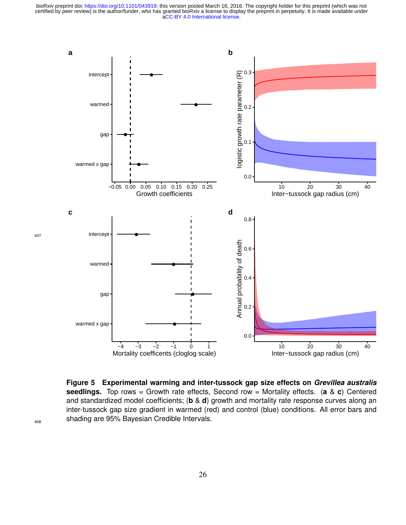

<span id="page-25-0"></span>**Figure 5 Experimental warming and inter-tussock gap size effects on** *Grevillea australis* **seedlings.** Top rows = Growth rate effects, Second row = Mortality effects. (**a** & **c**) Centered and standardized model coefficients; (**b** & **d**) growth and mortality rate response curves along an inter-tussock gap size gradient in warmed (red) and control (blue) conditions. All error bars and shading are 95% Bayesian Credible Intervals.